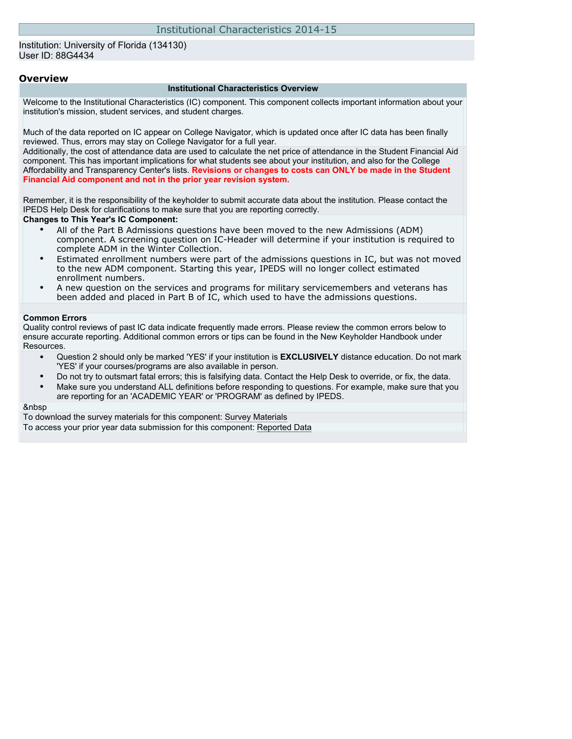#### Institution: University of Florida (134130) User ID: 88G4434

#### **Overview**

#### **Institutional Characteristics Overview**

Welcome to the Institutional Characteristics (IC) component. This component collects important information about your institution's mission, student services, and student charges.

Much of the data reported on IC appear on College Navigator, which is updated once after IC data has been finally reviewed. Thus, errors may stay on College Navigator for a full year.

Additionally, the cost of attendance data are used to calculate the net price of attendance in the Student Financial Aid component. This has important implications for what students see about your institution, and also for the College Affordability and Transparency Center's lists. **Revisions or changes to costs can ONLY be made in the Student Financial Aid component and not in the prior year revision system.**

Remember, it is the responsibility of the keyholder to submit accurate data about the institution. Please contact the IPEDS Help Desk for clarifications to make sure that you are reporting correctly.

#### **Changes to This Year's IC Component:**

- All of the Part B Admissions questions have been moved to the new Admissions (ADM) component. A screening question on IC-Header will determine if your institution is required to complete ADM in the Winter Collection.
- Estimated enrollment numbers were part of the admissions questions in IC, but was not moved to the new ADM component. Starting this year, IPEDS will no longer collect estimated enrollment numbers.
- A new question on the services and programs for military servicemembers and veterans has been added and placed in Part B of IC, which used to have the admissions questions.

#### **Common Errors**

Quality control reviews of past IC data indicate frequently made errors. Please review the common errors below to ensure accurate reporting. Additional common errors or tips can be found in the New Keyholder Handbook under Resources.

- Question 2 should only be marked 'YES' if your institution is **EXCLUSIVELY** distance education. Do not mark 'YES' if your courses/programs are also available in person.
- Do not try to outsmart fatal errors; this is falsifying data. Contact the Help Desk to override, or fix, the data.
- Make sure you understand ALL definitions before responding to questions. For example, make sure that you are reporting for an 'ACADEMIC YEAR' or 'PROGRAM' as defined by IPEDS.

#### &nbsp

To download the survey materials for this component: [Survey Materials](https://surveys.nces.ed.gov/ipeds/VisIndex.aspx) To access your prior year data submission for this component: [Reported Data](https://surveys.nces.ed.gov/IPEDS/PriorYearDataRedirect.aspx?survey_id=11)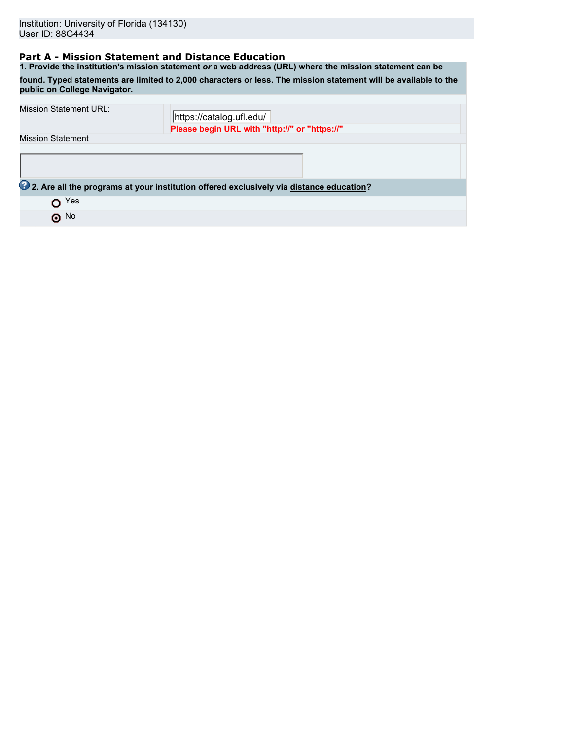## **Part A - Mission Statement and Distance Education**

**1. Provide the institution's mission statement** *or* **a web address (URL) where the mission statement can be found. Typed statements are limited to 2,000 characters or less. The mission statement will be available to the public on College Navigator.** Mission Statement URL:

| MISSIUIT JULIEITIEITI UKL. | https://catalog.ufl.edu/                                                                |  |
|----------------------------|-----------------------------------------------------------------------------------------|--|
|                            | Please begin URL with "http://" or "https://"                                           |  |
| <b>Mission Statement</b>   |                                                                                         |  |
|                            |                                                                                         |  |
|                            |                                                                                         |  |
|                            |                                                                                         |  |
|                            | 2. Are all the programs at your institution offered exclusively via distance education? |  |
| Yes                        |                                                                                         |  |
| $\odot$ No                 |                                                                                         |  |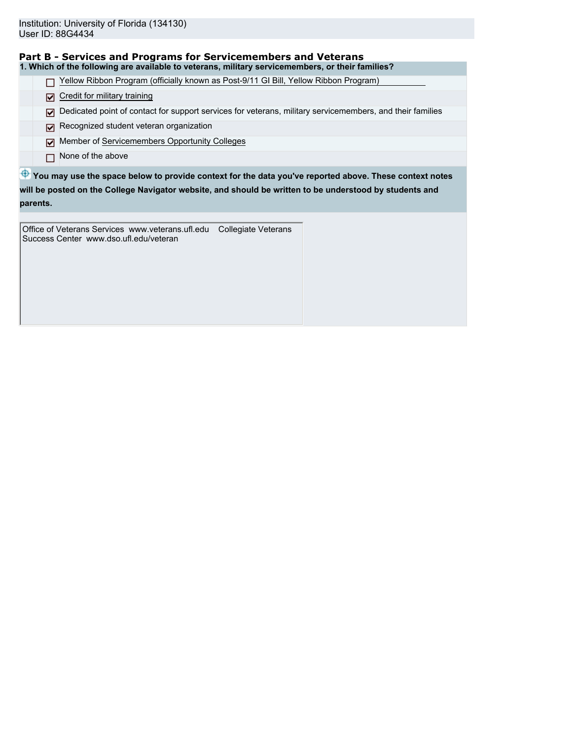| Part B - Services and Programs for Servicemembers and Veterans                                   |  |
|--------------------------------------------------------------------------------------------------|--|
| 1. Which of the following are available to veterans, military servicemembers, or their families? |  |

□ Yellow Ribbon Program (officially known as Post-9/11 GI Bill, Yellow Ribbon Program)

Credit for military training

 $\nabla$  Dedicated point of contact for support services for veterans, military servicemembers, and their families

- Recognized student veteran organization
- Member of Servicemembers Opportunity Colleges
- None of the above

 $\bigoplus$  **You may use the space below to provide context for the data you've reported above. These context notes will be posted on the College Navigator website, and should be written to be understood by students and parents.**

Office of Veterans Services www.veterans.ufl.edu Collegiate Veterans Success Center www.dso.ufl.edu/veteran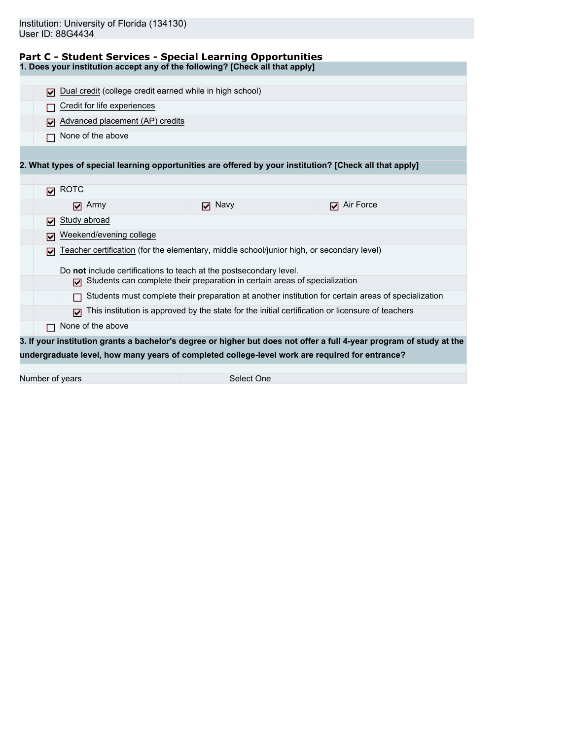|  |  | Part C - Student Services - Special Learning Opportunities |
|--|--|------------------------------------------------------------|
|  |  |                                                            |

**1. Does your institution accept any of the following? [Check all that apply]**

| М   |              | Dual credit (college credit earned while in high school) |                                                                                                         |                                                                                                                      |  |
|-----|--------------|----------------------------------------------------------|---------------------------------------------------------------------------------------------------------|----------------------------------------------------------------------------------------------------------------------|--|
|     |              | Credit for life experiences                              |                                                                                                         |                                                                                                                      |  |
| ⊓   |              | Advanced placement (AP) credits                          |                                                                                                         |                                                                                                                      |  |
|     |              | None of the above                                        |                                                                                                         |                                                                                                                      |  |
|     |              |                                                          |                                                                                                         |                                                                                                                      |  |
|     |              |                                                          | 2. What types of special learning opportunities are offered by your institution? [Check all that apply] |                                                                                                                      |  |
|     |              |                                                          |                                                                                                         |                                                                                                                      |  |
| М   | <b>ROTC</b>  |                                                          |                                                                                                         |                                                                                                                      |  |
|     |              | $\nabla$ Army                                            | $\nabla$ Navy                                                                                           | Air Force<br>⊓                                                                                                       |  |
| ☑   | Study abroad |                                                          |                                                                                                         |                                                                                                                      |  |
| М   |              | Weekend/evening college                                  |                                                                                                         |                                                                                                                      |  |
| ا⊽ا |              |                                                          | Teacher certification (for the elementary, middle school/junior high, or secondary level)               |                                                                                                                      |  |
|     |              |                                                          | Do not include certifications to teach at the postsecondary level.                                      |                                                                                                                      |  |
|     | ⊓            |                                                          | Students can complete their preparation in certain areas of specialization                              |                                                                                                                      |  |
|     |              |                                                          | Students must complete their preparation at another institution for certain areas of specialization     |                                                                                                                      |  |
|     | ঢ়           |                                                          | This institution is approved by the state for the initial certification or licensure of teachers        |                                                                                                                      |  |
| П   |              | None of the above                                        |                                                                                                         |                                                                                                                      |  |
|     |              |                                                          |                                                                                                         | 3. If your institution grants a bachelor's degree or higher but does not offer a full 4-year program of study at the |  |
|     |              |                                                          | undergraduate level, how many years of completed college-level work are required for entrance?          |                                                                                                                      |  |
|     |              |                                                          |                                                                                                         |                                                                                                                      |  |

Number of years Select One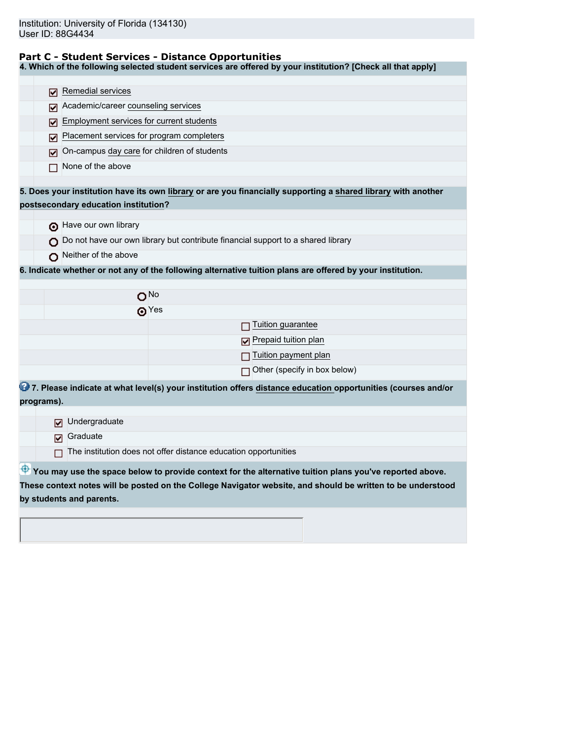#### **Part C - Student Services - Distance Opportunities**

**4. Which of the following selected student services are offered by your institution? [Check all that apply]**

|            | Remedial services<br>M                                                                                        |
|------------|---------------------------------------------------------------------------------------------------------------|
|            | Academic/career counseling services<br>M                                                                      |
|            | Employment services for current students<br>M                                                                 |
|            | Placement services for program completers<br>⊽                                                                |
|            | On-campus day care for children of students<br>M                                                              |
|            | None of the above                                                                                             |
|            | 5. Does your institution have its own library or are you financially supporting a shared library with another |
|            | postsecondary education institution?                                                                          |
|            |                                                                                                               |
|            | Have our own library                                                                                          |
|            | $\bigcap$ Do not have our own library but contribute financial support to a shared library                    |
|            | Neither of the above                                                                                          |
|            | 6. Indicate whether or not any of the following alternative tuition plans are offered by your institution.    |
|            |                                                                                                               |
|            | $O^{No}$                                                                                                      |
|            | $\mathbf{\Theta}^{\text{Yes}}$                                                                                |
|            | Tuition guarantee                                                                                             |
|            | Prepaid tuition plan                                                                                          |
|            | Tuition payment plan                                                                                          |
|            | $\Box$ Other (specify in box below)                                                                           |
|            | 7. Please indicate at what level(s) your institution offers distance education opportunities (courses and/or  |
| programs). |                                                                                                               |
|            | Undergraduate<br>М                                                                                            |
|            | Graduate<br>☑                                                                                                 |
|            | The institution does not offer distance education opportunities                                               |
|            |                                                                                                               |
|            | You may use the space below to provide context for the alternative tuition plans you've reported above.       |
|            | These context notes will be posted on the College Navigator website, and should be written to be understood   |
|            | by students and parents.                                                                                      |
|            |                                                                                                               |
|            |                                                                                                               |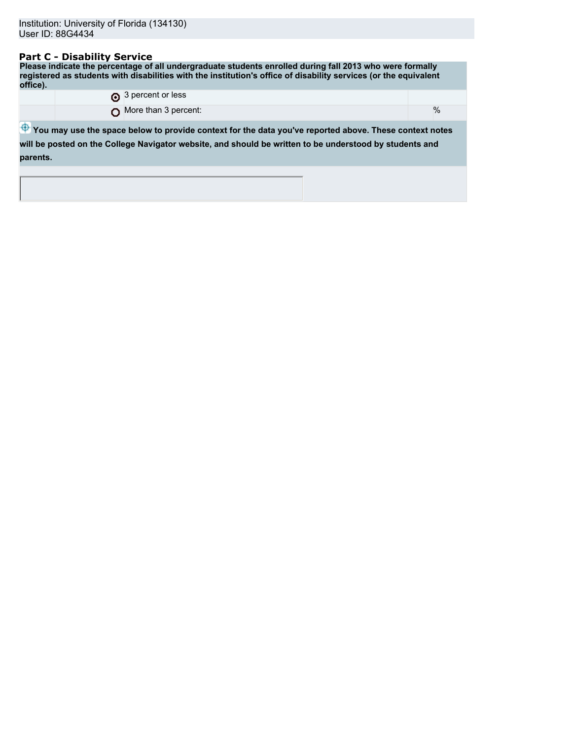## **Part C - Disability Service**

**Please indicate the percentage of all undergraduate students enrolled during fall 2013 who were formally registered as students with disabilities with the institution's office of disability services (or the equivalent office).** 3 percent or less

|          | <b>[*]</b> A here if all less                                                                                                                                                                                                 |      |
|----------|-------------------------------------------------------------------------------------------------------------------------------------------------------------------------------------------------------------------------------|------|
|          | More than 3 percent:                                                                                                                                                                                                          | $\%$ |
| parents. | $\bigoplus$ You may use the space below to provide context for the data you've reported above. These context notes<br>will be posted on the College Navigator website, and should be written to be understood by students and |      |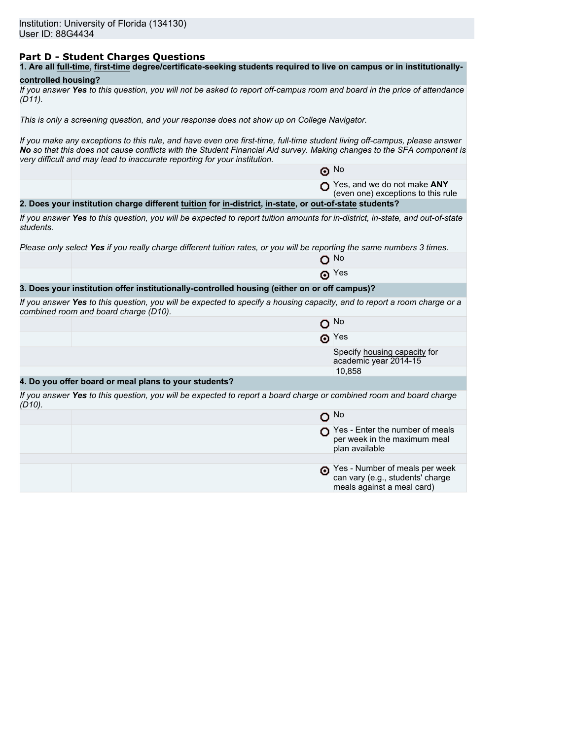# **Part D - Student Charges Questions**

|  |  | 1. Are all full-time, first-time degree/certificate-seeking students required to live on campus or in institutionally- |
|--|--|------------------------------------------------------------------------------------------------------------------------|
|--|--|------------------------------------------------------------------------------------------------------------------------|

## **controlled housing?**

| If you answer Yes to this question, you will not be asked to report off-campus room and board in the price of attendance |  |  |
|--------------------------------------------------------------------------------------------------------------------------|--|--|
| $(D11)$ .                                                                                                                |  |  |

*This is only a screening question, and your response does not show up on College Navigator.*

*If you make any exceptions to this rule, and have even one first-time, full-time student living off-campus, please answer No so that this does not cause conflicts with the Student Financial Aid survey. Making changes to the SFA component is very difficult and may lead to inaccurate reporting for your institution.*

|           |                                                                                                                                                                   | $\odot$ No                                                                                       |
|-----------|-------------------------------------------------------------------------------------------------------------------------------------------------------------------|--------------------------------------------------------------------------------------------------|
|           |                                                                                                                                                                   | Yes, and we do not make ANY<br>(even one) exceptions to this rule                                |
|           | 2. Does your institution charge different tuition for in-district, in-state, or out-of-state students?                                                            |                                                                                                  |
| students. | If you answer Yes to this question, you will be expected to report tuition amounts for in-district, in-state, and out-of-state                                    |                                                                                                  |
|           | Please only select Yes if you really charge different tuition rates, or you will be reporting the same numbers 3 times.                                           |                                                                                                  |
|           |                                                                                                                                                                   | O No                                                                                             |
|           |                                                                                                                                                                   | $\odot$ Yes                                                                                      |
|           | 3. Does your institution offer institutionally-controlled housing (either on or off campus)?                                                                      |                                                                                                  |
|           | If you answer Yes to this question, you will be expected to specify a housing capacity, and to report a room charge or a<br>combined room and board charge (D10). |                                                                                                  |
|           | о                                                                                                                                                                 | No.                                                                                              |
|           |                                                                                                                                                                   | $\odot$ Yes                                                                                      |
|           |                                                                                                                                                                   | Specify housing capacity for<br>academic year 2014-15                                            |
|           |                                                                                                                                                                   | 10,858                                                                                           |
|           | 4. Do you offer board or meal plans to your students?                                                                                                             |                                                                                                  |
| $(D10)$ . | If you answer Yes to this question, you will be expected to report a board charge or combined room and board charge                                               |                                                                                                  |
|           |                                                                                                                                                                   | O No                                                                                             |
|           |                                                                                                                                                                   | $\bigcap$ Yes - Enter the number of meals<br>per week in the maximum meal<br>plan available      |
|           |                                                                                                                                                                   |                                                                                                  |
|           |                                                                                                                                                                   | Yes - Number of meals per week<br>can vary (e.g., students' charge<br>meals against a meal card) |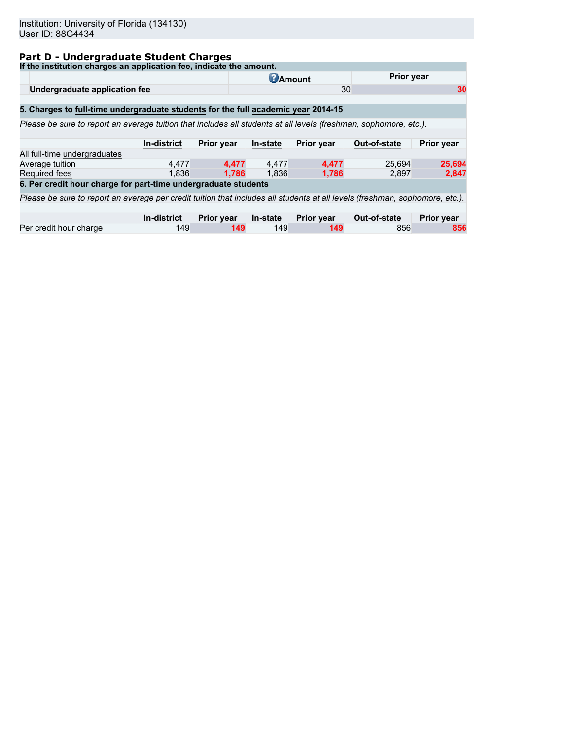# **Part D - Undergraduate Student Charges**

| If the institution charges an application fee, indicate the amount.                                                          |             |                   |                 |            |              |                   |
|------------------------------------------------------------------------------------------------------------------------------|-------------|-------------------|-----------------|------------|--------------|-------------------|
|                                                                                                                              |             |                   | <b>C</b> Amount |            | Prior year   |                   |
| Undergraduate application fee                                                                                                |             |                   |                 | 30         |              | 30                |
|                                                                                                                              |             |                   |                 |            |              |                   |
| 5. Charges to full-time undergraduate students for the full academic year 2014-15                                            |             |                   |                 |            |              |                   |
| Please be sure to report an average tuition that includes all students at all levels (freshman, sophomore, etc.).            |             |                   |                 |            |              |                   |
|                                                                                                                              |             |                   |                 |            |              |                   |
|                                                                                                                              | In-district | <b>Prior year</b> | In-state        | Prior year | Out-of-state | <b>Prior year</b> |
| All full-time undergraduates                                                                                                 |             |                   |                 |            |              |                   |
| Average tuition                                                                                                              | 4.477       | 4.477             | 4,477           | 4,477      | 25.694       | 25,694            |
| <b>Required fees</b>                                                                                                         | 1.836       | 1.786             | 1.836           | 1.786      | 2.897        | 2,847             |
| 6. Per credit hour charge for part-time undergraduate students                                                               |             |                   |                 |            |              |                   |
| Please be sure to report an average per credit tuition that includes all students at all levels (freshman, sophomore, etc.). |             |                   |                 |            |              |                   |
|                                                                                                                              |             |                   |                 |            |              |                   |
|                                                                                                                              | In-district | <b>Prior year</b> | In-state        | Prior year | Out-of-state | <b>Prior year</b> |
| Per credit hour charge                                                                                                       | 149         | 149               | 149             | 149        | 856          | 856               |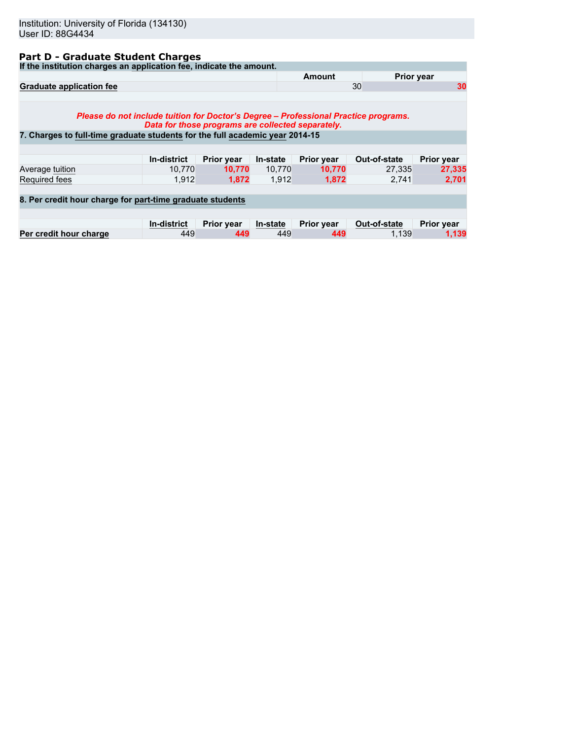# **Part D - Graduate Student Charges**

**If the institution charges an application fee, indicate the amount.**

| If the modulum charges an application lee, mulcate the amount.                      |                                                   |                   |          |                   |                   |                   |
|-------------------------------------------------------------------------------------|---------------------------------------------------|-------------------|----------|-------------------|-------------------|-------------------|
|                                                                                     |                                                   |                   |          | <b>Amount</b>     | <b>Prior year</b> |                   |
| <b>Graduate application fee</b>                                                     |                                                   |                   |          |                   | 30                | 30                |
| Please do not include tuition for Doctor's Degree – Professional Practice programs. | Data for those programs are collected separately. |                   |          |                   |                   |                   |
| 7. Charges to full-time graduate students for the full academic year 2014-15        |                                                   |                   |          |                   |                   |                   |
|                                                                                     |                                                   |                   |          |                   |                   |                   |
|                                                                                     | <b>In-district</b>                                | <b>Prior year</b> | In-state | <b>Prior year</b> | Out-of-state      | <b>Prior year</b> |
| Average tuition                                                                     | 10.770                                            | 10.770            | 10,770   | 10,770            | 27.335            | 27,335            |
| Required fees                                                                       | 1.912                                             | 1.872             | 1.912    | 1,872             | 2.741             | 2,701             |
| 8. Per credit hour charge for part-time graduate students                           |                                                   |                   |          |                   |                   |                   |
|                                                                                     | <b>In-district</b>                                | <b>Prior year</b> | In-state | <b>Prior year</b> | Out-of-state      | Prior year        |
| Per credit hour charge                                                              | 449                                               | 449               | 449      | 449               | 1.139             | 1,139             |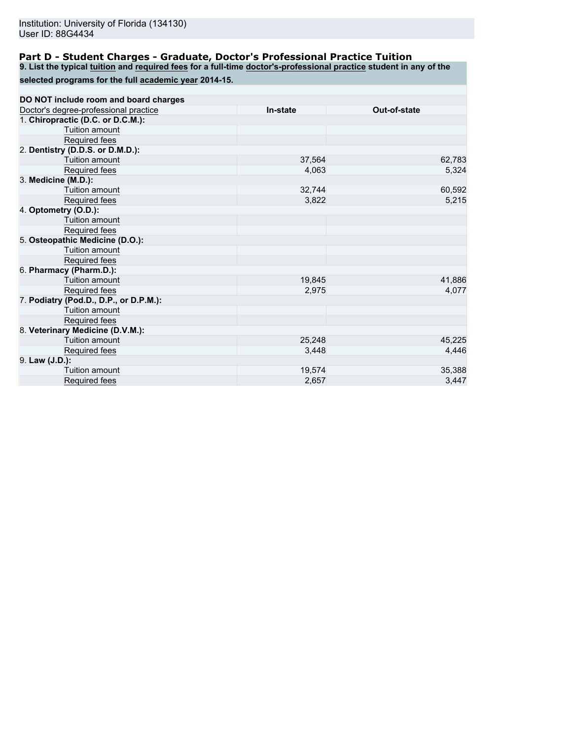### **Part D - Student Charges - Graduate, Doctor's Professional Practice Tuition**

**9. List the typical tuition and required fees for a full-time doctor's-professional practice student in any of the**

| selected programs for the full academic year 2014-15. |
|-------------------------------------------------------|
|-------------------------------------------------------|

| DO NOT include room and board charges  |          |              |
|----------------------------------------|----------|--------------|
| Doctor's degree-professional practice  | In-state | Out-of-state |
| 1. Chiropractic (D.C. or D.C.M.):      |          |              |
| Tuition amount                         |          |              |
| Required fees                          |          |              |
| 2. Dentistry (D.D.S. or D.M.D.):       |          |              |
| Tuition amount                         | 37,564   | 62,783       |
| Required fees                          | 4,063    | 5,324        |
| 3. Medicine (M.D.):                    |          |              |
| Tuition amount                         | 32,744   | 60,592       |
| Required fees                          | 3,822    | 5,215        |
| 4. Optometry (O.D.):                   |          |              |
| Tuition amount                         |          |              |
| Required fees                          |          |              |
| 5. Osteopathic Medicine (D.O.):        |          |              |
| Tuition amount                         |          |              |
| Required fees                          |          |              |
| 6. Pharmacy (Pharm.D.):                |          |              |
| Tuition amount                         | 19,845   | 41,886       |
| Required fees                          | 2,975    | 4,077        |
| 7. Podiatry (Pod.D., D.P., or D.P.M.): |          |              |
| Tuition amount                         |          |              |
| Required fees                          |          |              |
| 8. Veterinary Medicine (D.V.M.):       |          |              |
| Tuition amount                         | 25,248   | 45,225       |
| Required fees                          | 3,448    | 4,446        |
| 9. Law (J.D.):                         |          |              |
| Tuition amount                         | 19,574   | 35,388       |
| <b>Required fees</b>                   | 2,657    | 3,447        |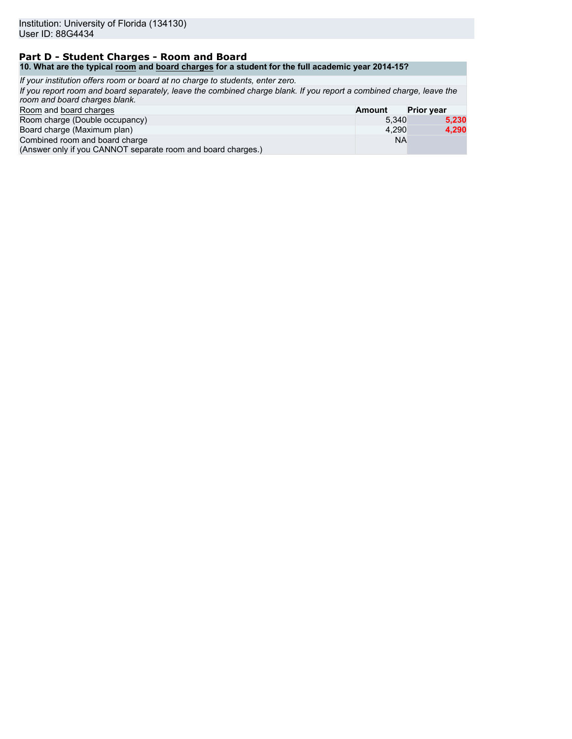#### **Part D - Student Charges - Room and Board 10. What are the typical room and board charges for a student for the full academic year 2014-15?**

| If your institution offers room or board at no charge to students, enter zero.                                                                        |               |                   |
|-------------------------------------------------------------------------------------------------------------------------------------------------------|---------------|-------------------|
| If you report room and board separately, leave the combined charge blank. If you report a combined charge, leave the<br>room and board charges blank. |               |                   |
| Room and board charges                                                                                                                                | <b>Amount</b> | <b>Prior year</b> |
| Room charge (Double occupancy)                                                                                                                        | 5.340         | 5.230             |
| Board charge (Maximum plan)                                                                                                                           | 4.290         | 4,290             |
| Combined room and board charge<br>(Answer only if you CANNOT separate room and board charges.)                                                        | <b>NA</b>     |                   |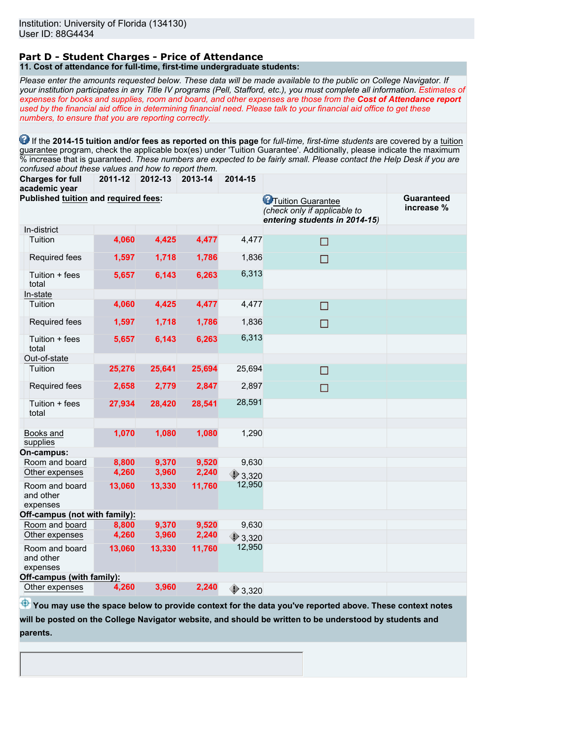#### **Part D - Student Charges - Price of Attendance 11. Cost of attendance for full-time, first-time undergraduate students:**

*Please enter the amounts requested below. These data will be made available to the public on College Navigator. If your institution participates in any Title IV programs (Pell, Stafford, etc.), you must complete all information. Estimates of expenses for books and supplies, room and board, and other expenses are those from the Cost of Attendance report used by the financial aid office in determining financial need. Please talk to your financial aid office to get these numbers, to ensure that you are reporting correctly.*

**1** If the 2014-15 tuition and/or fees as reported on this page for *full-time, first-time students* are covered by a tuition guarantee program, check the applicable box(es) under 'Tuition Guarantee'. Additionally, please indicate the maximum % increase that is guaranteed. *These numbers are expected to be fairly small. Please contact the Help Desk if you are confused about these values and how to report them.*

**Charges for full 2011-12 2012-13 2013-14 2014-15**

| academic year                               |        |        |        |                  |                                                                                             |                                 |
|---------------------------------------------|--------|--------|--------|------------------|---------------------------------------------------------------------------------------------|---------------------------------|
| <b>Published tuition and required fees:</b> |        |        |        |                  | <b>C</b> Tuition Guarantee<br>(check only if applicable to<br>entering students in 2014-15) | <b>Guaranteed</b><br>increase % |
| In-district                                 |        |        |        |                  |                                                                                             |                                 |
| Tuition                                     | 4,060  | 4,425  | 4,477  | 4,477            | □                                                                                           |                                 |
| Required fees                               | 1,597  | 1,718  | 1,786  | 1,836            | $\Box$                                                                                      |                                 |
| Tuition + fees<br>total                     | 5,657  | 6,143  | 6,263  | 6,313            |                                                                                             |                                 |
| In-state                                    |        |        |        |                  |                                                                                             |                                 |
| Tuition                                     | 4,060  | 4,425  | 4,477  | 4,477            | □                                                                                           |                                 |
| Required fees                               | 1,597  | 1,718  | 1,786  | 1,836            | □                                                                                           |                                 |
| Tuition + fees<br>total                     | 5,657  | 6,143  | 6,263  | 6,313            |                                                                                             |                                 |
| Out-of-state                                |        |        |        |                  |                                                                                             |                                 |
| Tuition                                     | 25,276 | 25,641 | 25,694 | 25,694           | $\Box$                                                                                      |                                 |
| Required fees                               | 2,658  | 2,779  | 2,847  | 2,897            | □                                                                                           |                                 |
| Tuition + fees<br>total                     | 27,934 | 28,420 | 28,541 | 28,591           |                                                                                             |                                 |
|                                             |        |        |        |                  |                                                                                             |                                 |
| Books and<br>supplies                       | 1,070  | 1,080  | 1,080  | 1,290            |                                                                                             |                                 |
| On-campus:                                  |        |        |        |                  |                                                                                             |                                 |
| Room and board                              | 8,800  | 9,370  | 9,520  | 9,630            |                                                                                             |                                 |
| Other expenses                              | 4,260  | 3,960  | 2,240  | $*3,320$         |                                                                                             |                                 |
| Room and board<br>and other<br>expenses     | 13,060 | 13,330 | 11,760 | 12,950           |                                                                                             |                                 |
| Off-campus (not with family):               |        |        |        |                  |                                                                                             |                                 |
| Room and board                              | 8,800  | 9,370  | 9,520  | 9,630            |                                                                                             |                                 |
| Other expenses                              | 4,260  | 3,960  | 2,240  | 23.320           |                                                                                             |                                 |
| Room and board<br>and other<br>expenses     | 13,060 | 13,330 | 11,760 | 12,950           |                                                                                             |                                 |
| Off-campus (with family):                   |        |        |        |                  |                                                                                             |                                 |
| Other expenses                              | 4,260  | 3,960  | 2,240  | $\bigcirc$ 3,320 |                                                                                             |                                 |

 $\bigoplus$  **You may use the space below to provide context for the data you've reported above. These context notes will be posted on the College Navigator website, and should be written to be understood by students and parents.**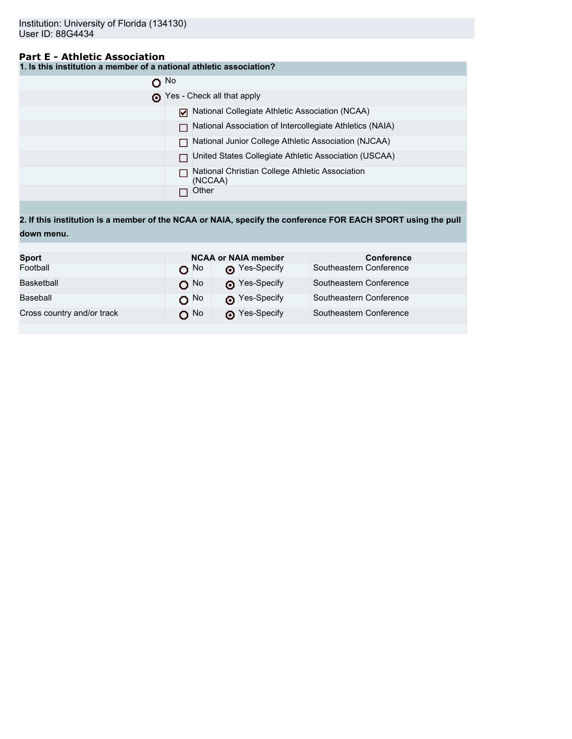# **Part E - Athletic Association**

**1. Is this institution a member of a national athletic association?**

| $\Omega$ No |                                                            |
|-------------|------------------------------------------------------------|
|             | Yes - Check all that apply                                 |
|             | National Collegiate Athletic Association (NCAA)            |
|             | National Association of Intercollegiate Athletics (NAIA)   |
|             | National Junior College Athletic Association (NJCAA)       |
|             | United States Collegiate Athletic Association (USCAA)      |
|             | National Christian College Athletic Association<br>(NCCAA) |
|             | Other                                                      |

**2. If this institution is a member of the NCAA or NAIA, specify the conference FOR EACH SPORT using the pull down menu.**

| <b>Sport</b>               |                 | <b>NCAA or NAIA member</b> | <b>Conference</b>       |
|----------------------------|-----------------|----------------------------|-------------------------|
| Football                   | റ <sup>No</sup> | Nes-Specify                | Southeastern Conference |
| Basketball                 | $O$ No          | Pes-Specify                | Southeastern Conference |
| Baseball                   | $O^{No}$        | P Yes-Specify              | Southeastern Conference |
| Cross country and/or track | O No            | Pes-Specify                | Southeastern Conference |
|                            |                 |                            |                         |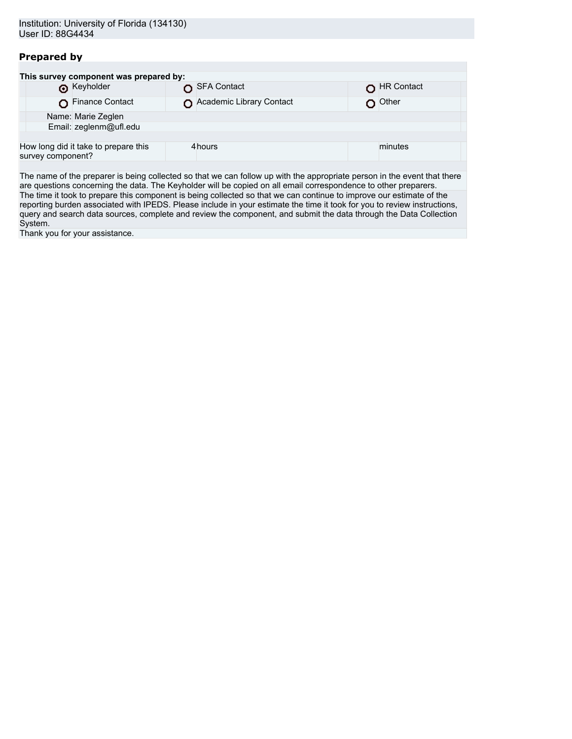# **Prepared by**

| This survey component was prepared by: |                                      |  |                          |  |            |  |  |
|----------------------------------------|--------------------------------------|--|--------------------------|--|------------|--|--|
|                                        | <b>O</b> Keyholder                   |  | SFA Contact              |  | HR Contact |  |  |
|                                        | Finance Contact                      |  | Academic Library Contact |  | Other      |  |  |
|                                        | Name: Marie Zeglen                   |  |                          |  |            |  |  |
| Email: zeglenm@ufl.edu                 |                                      |  |                          |  |            |  |  |
|                                        |                                      |  |                          |  |            |  |  |
| survey component?                      | How long did it take to prepare this |  | 4hours                   |  | minutes    |  |  |
|                                        |                                      |  |                          |  |            |  |  |

The name of the preparer is being collected so that we can follow up with the appropriate person in the event that there are questions concerning the data. The Keyholder will be copied on all email correspondence to other preparers. The time it took to prepare this component is being collected so that we can continue to improve our estimate of the reporting burden associated with IPEDS. Please include in your estimate the time it took for you to review instructions, query and search data sources, complete and review the component, and submit the data through the Data Collection System.

Thank you for your assistance.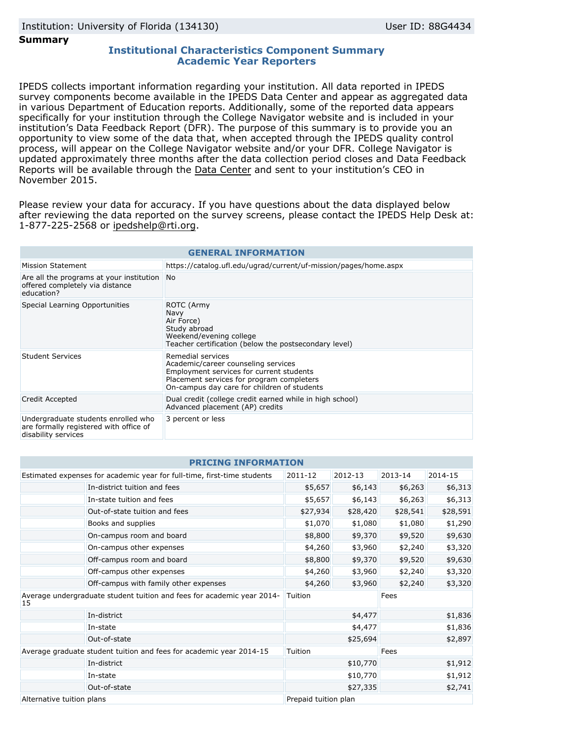#### **Summary**

## **Institutional Characteristics Component Summary Academic Year Reporters**

IPEDS collects important information regarding your institution. All data reported in IPEDS survey components become available in the IPEDS Data Center and appear as aggregated data in various Department of Education reports. Additionally, some of the reported data appears specifically for your institution through the College Navigator website and is included in your institution's Data Feedback Report (DFR). The purpose of this summary is to provide you an opportunity to view some of the data that, when accepted through the IPEDS quality control process, will appear on the College Navigator website and/or your DFR. College Navigator is updated approximately three months after the data collection period closes and Data Feedback Reports will be available through the [Data Center](http://nces.ed.gov/ipeds/datacenter/) and sent to your institution's CEO in November 2015.

Please review your data for accuracy. If you have questions about the data displayed below after reviewing the data reported on the survey screens, please contact the IPEDS Help Desk at: 1-877-225-2568 or ipedshelp@rti.org.

| <b>GENERAL INFORMATION</b>                                                                           |                                                                                                                                                                                                  |  |  |  |
|------------------------------------------------------------------------------------------------------|--------------------------------------------------------------------------------------------------------------------------------------------------------------------------------------------------|--|--|--|
| Mission Statement                                                                                    | https://catalog.ufl.edu/ugrad/current/uf-mission/pages/home.aspx                                                                                                                                 |  |  |  |
| Are all the programs at your institution No<br>offered completely via distance<br>education?         |                                                                                                                                                                                                  |  |  |  |
| Special Learning Opportunities                                                                       | <b>ROTC</b> (Army<br><b>Navy</b><br>Air Force)<br>Study abroad<br>Weekend/evening college<br>Teacher certification (below the postsecondary level)                                               |  |  |  |
| <b>Student Services</b>                                                                              | Remedial services<br>Academic/career counseling services<br>Employment services for current students<br>Placement services for program completers<br>On-campus day care for children of students |  |  |  |
| Credit Accepted                                                                                      | Dual credit (college credit earned while in high school)<br>Advanced placement (AP) credits                                                                                                      |  |  |  |
| Undergraduate students enrolled who<br>are formally registered with office of<br>disability services | 3 percent or less                                                                                                                                                                                |  |  |  |

| <b>PRICING INFORMATION</b>                                                   |                      |          |          |          |  |
|------------------------------------------------------------------------------|----------------------|----------|----------|----------|--|
| Estimated expenses for academic year for full-time, first-time students      | 2011-12              | 2012-13  | 2013-14  | 2014-15  |  |
| In-district tuition and fees                                                 | \$5,657              | \$6,143  | \$6,263  | \$6,313  |  |
| In-state tuition and fees                                                    | \$5,657              | \$6,143  | \$6,263  | \$6,313  |  |
| Out-of-state tuition and fees                                                | \$27,934             | \$28,420 | \$28,541 | \$28,591 |  |
| Books and supplies                                                           | \$1,070              | \$1,080  | \$1,080  | \$1,290  |  |
| On-campus room and board                                                     | \$8,800              | \$9,370  | \$9,520  | \$9,630  |  |
| On-campus other expenses                                                     | \$4,260              | \$3,960  | \$2,240  | \$3,320  |  |
| Off-campus room and board                                                    | \$8,800              | \$9,370  | \$9,520  | \$9,630  |  |
| Off-campus other expenses                                                    | \$4,260              | \$3,960  | \$2,240  | \$3,320  |  |
| Off-campus with family other expenses                                        | \$4,260              | \$3,960  | \$2,240  | \$3,320  |  |
| Average undergraduate student tuition and fees for academic year 2014-<br>15 | Tuition              |          | Fees     |          |  |
| In-district                                                                  |                      | \$4,477  |          | \$1,836  |  |
| In-state                                                                     |                      | \$4,477  | \$1,836  |          |  |
| Out-of-state                                                                 | \$25,694             |          | \$2,897  |          |  |
| Average graduate student tuition and fees for academic year 2014-15          | Tuition              |          | Fees     |          |  |
| In-district                                                                  | \$10,770             |          | \$1,912  |          |  |
| In-state                                                                     |                      | \$10,770 |          | \$1,912  |  |
| Out-of-state                                                                 |                      | \$27,335 |          | \$2,741  |  |
| Alternative tuition plans                                                    | Prepaid tuition plan |          |          |          |  |